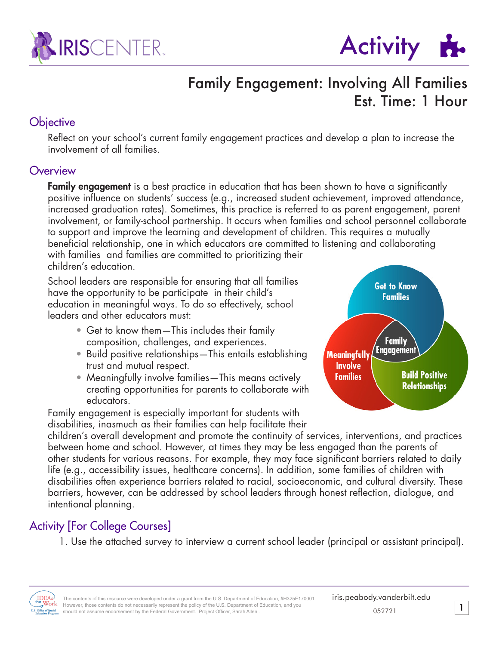



## Family Engagement: Involving All Families Est. Time: 1 Hour

### **Objective**

Reflect on your school's current family engagement practices and develop a plan to increase the involvement of all families.

#### **Overview**

**Family engagement** is a best practice in education that has been shown to have a significantly positive influence on students' success (e.g., increased student achievement, improved attendance, increased graduation rates). Sometimes, this practice is referred to as parent engagement, parent involvement, or family-school partnership. It occurs when families and school personnel collaborate to support and improve the learning and development of children. This requires a mutually beneficial relationship, one in which educators are committed to listening and collaborating with families and families are committed to prioritizing their children's education.

School leaders are responsible for ensuring that all families have the opportunity to be participate in their child's education in meaningful ways. To do so effectively, school leaders and other educators must:

- Get to know them—This includes their family composition, challenges, and experiences.
- Build positive relationships—This entails establishing trust and mutual respect.
- Meaningfully involve families—This means actively creating opportunities for parents to collaborate with educators.

Family engagement is especially important for students with disabilities, inasmuch as their families can help facilitate their



children's overall development and promote the continuity of services, interventions, and practices between home and school. However, at times they may be less engaged than the parents of other students for various reasons. For example, they may face significant barriers related to daily life (e.g., accessibility issues, healthcare concerns). In addition, some families of children with disabilities often experience barriers related to racial, socioeconomic, and cultural diversity. These barriers, however, can be addressed by school leaders through honest reflection, dialogue, and intentional planning.

### Activity [For College Courses]

1. Use the attached survey to interview a current school leader (principal or assistant principal).

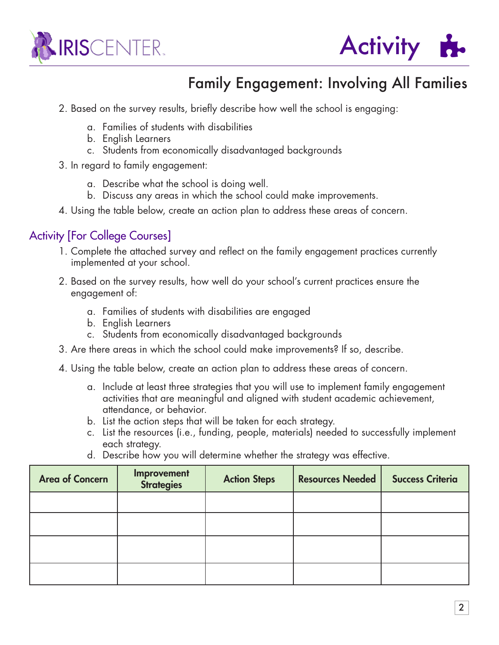



# Family Engagement: Involving All Families

- 2. Based on the survey results, briefly describe how well the school is engaging:
	- a. Families of students with disabilities
	- b. English Learners
	- c. Students from economically disadvantaged backgrounds
- 3. In regard to family engagement:
	- a. Describe what the school is doing well.
	- b. Discuss any areas in which the school could make improvements.
- 4. Using the table below, create an action plan to address these areas of concern.

### Activity [For College Courses]

- 1. Complete the attached survey and reflect on the family engagement practices currently implemented at your school.
- 2. Based on the survey results, how well do your school's current practices ensure the engagement of:
	- a. Families of students with disabilities are engaged
	- b. English Learners
	- c. Students from economically disadvantaged backgrounds
- 3. Are there areas in which the school could make improvements? If so, describe.
- 4. Using the table below, create an action plan to address these areas of concern.
	- a. Include at least three strategies that you will use to implement family engagement activities that are meaningful and aligned with student academic achievement, attendance, or behavior.
	- b. List the action steps that will be taken for each strategy.
	- c. List the resources (i.e., funding, people, materials) needed to successfully implement each strategy.
	- d. Describe how you will determine whether the strategy was effective.

| <b>Area of Concern</b> | Improvement<br><b>Strategies</b> | <b>Action Steps</b> | <b>Resources Needed</b> | <b>Success Criteria</b> |
|------------------------|----------------------------------|---------------------|-------------------------|-------------------------|
|                        |                                  |                     |                         |                         |
|                        |                                  |                     |                         |                         |
|                        |                                  |                     |                         |                         |
|                        |                                  |                     |                         |                         |